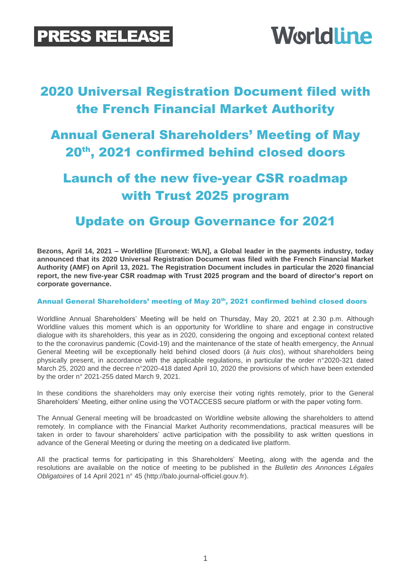# **Worldline**

## 2020 Universal Registration Document filed with the French Financial Market Authority

### Annual General Shareholders' Meeting of May 20th, 2021 confirmed behind closed doors

## Launch of the new five-year CSR roadmap with Trust 2025 program

### Update on Group Governance for 2021

**Bezons, April 14, 2021 – Worldline [Euronext: WLN], a Global leader in the payments industry, today announced that its 2020 Universal Registration Document was filed with the French Financial Market Authority (AMF) on April 13, 2021. The Registration Document includes in particular the 2020 financial report, the new five-year CSR roadmap with Trust 2025 program and the board of director's report on corporate governance.**

#### Annual General Shareholders' meeting of May 20<sup>th</sup>, 2021 confirmed behind closed doors

Worldline Annual Shareholders' Meeting will be held on Thursday, May 20, 2021 at 2.30 p.m. Although Worldline values this moment which is an opportunity for Worldline to share and engage in constructive dialogue with its shareholders, this year as in 2020, considering the ongoing and exceptional context related to the the coronavirus pandemic (Covid-19) and the maintenance of the state of health emergency, the Annual General Meeting will be exceptionally held behind closed doors (*à huis clos*), without shareholders being physically present, in accordance with the applicable regulations, in particular the order n°2020-321 dated March 25, 2020 and the decree n°2020-418 dated April 10, 2020 the provisions of which have been extended by the order n° 2021-255 dated March 9, 2021.

In these conditions the shareholders may only exercise their voting rights remotely, prior to the General Shareholders' Meeting, either online using the VOTACCESS secure platform or with the paper voting form.

The Annual General meeting will be broadcasted on Worldline website allowing the shareholders to attend remotely. In compliance with the Financial Market Authority recommendations, practical measures will be taken in order to favour shareholders' active participation with the possibility to ask written questions in advance of the General Meeting or during the meeting on a dedicated live platform.

All the practical terms for participating in this Shareholders' Meeting, along with the agenda and the resolutions are available on the notice of meeting to be published in the *Bulletin des Annonces Légales Obligatoires* of 14 April 2021 n° 45 [\(http://balo.journal-officiel.gouv.fr\)](http://balo.journal-officiel.gouv.fr/).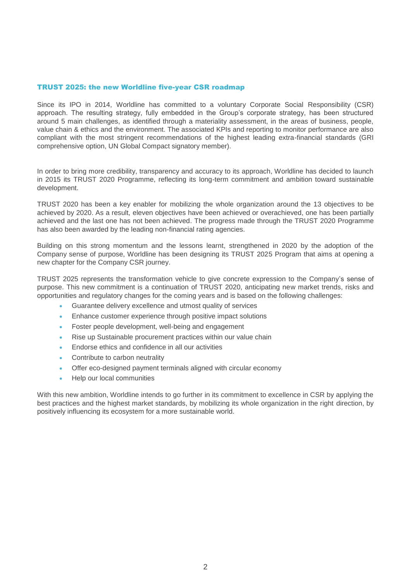#### TRUST 2025: the new Worldline five-year CSR roadmap

Since its IPO in 2014, Worldline has committed to a voluntary Corporate Social Responsibility (CSR) approach. The resulting strategy, fully embedded in the Group's corporate strategy, has been structured around 5 main challenges, as identified through a materiality assessment, in the areas of business, people, value chain & ethics and the environment. The associated KPIs and reporting to monitor performance are also compliant with the most stringent recommendations of the highest leading extra-financial standards (GRI comprehensive option, UN Global Compact signatory member).

In order to bring more credibility, transparency and accuracy to its approach, Worldline has decided to launch in 2015 its TRUST 2020 Programme, reflecting its long-term commitment and ambition toward sustainable development.

TRUST 2020 has been a key enabler for mobilizing the whole organization around the 13 objectives to be achieved by 2020. As a result, eleven objectives have been achieved or overachieved, one has been partially achieved and the last one has not been achieved. The progress made through the TRUST 2020 Programme has also been awarded by the leading non-financial rating agencies.

Building on this strong momentum and the lessons learnt, strengthened in 2020 by the adoption of the Company sense of purpose, Worldline has been designing its TRUST 2025 Program that aims at opening a new chapter for the Company CSR journey.

TRUST 2025 represents the transformation vehicle to give concrete expression to the Company's sense of purpose. This new commitment is a continuation of TRUST 2020, anticipating new market trends, risks and opportunities and regulatory changes for the coming years and is based on the following challenges:

- Guarantee delivery excellence and utmost quality of services
- Enhance customer experience through positive impact solutions
- Foster people development, well-being and engagement
- Rise up Sustainable procurement practices within our value chain
- Endorse ethics and confidence in all our activities
- Contribute to carbon neutrality
- Offer eco-designed payment terminals aligned with circular economy
- Help our local communities

With this new ambition, Worldline intends to go further in its commitment to excellence in CSR by applying the best practices and the highest market standards, by mobilizing its whole organization in the right direction, by positively influencing its ecosystem for a more sustainable world.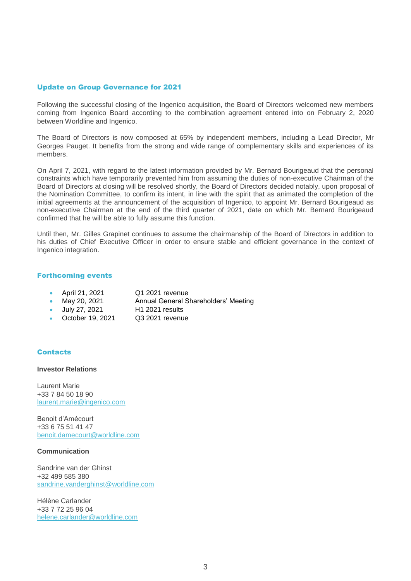#### Update on Group Governance for 2021

Following the successful closing of the Ingenico acquisition, the Board of Directors welcomed new members coming from Ingenico Board according to the combination agreement entered into on February 2, 2020 between Worldline and Ingenico.

The Board of Directors is now composed at 65% by independent members, including a Lead Director, Mr Georges Pauget. It benefits from the strong and wide range of complementary skills and experiences of its members.

On April 7, 2021, with regard to the latest information provided by Mr. Bernard Bourigeaud that the personal constraints which have temporarily prevented him from assuming the duties of non-executive Chairman of the Board of Directors at closing will be resolved shortly, the Board of Directors decided notably, upon proposal of the Nomination Committee, to confirm its intent, in line with the spirit that as animated the completion of the initial agreements at the announcement of the acquisition of Ingenico, to appoint Mr. Bernard Bourigeaud as non-executive Chairman at the end of the third quarter of 2021, date on which Mr. Bernard Bourigeaud confirmed that he will be able to fully assume this function.

Until then, Mr. Gilles Grapinet continues to assume the chairmanship of the Board of Directors in addition to his duties of Chief Executive Officer in order to ensure stable and efficient governance in the context of Ingenico integration.

#### Forthcoming events

- April 21, 2021 Q1 2021 revenue
	-
	- May 20, 2021 Annual General Shareholders' Meeting
	- July 27, 2021 H1 2021 results
- October 19, 2021 Q3 2021 revenue

#### **Contacts**

#### **Investor Relations**

Laurent Marie +33 7 84 50 18 90 [laurent.marie@ingenico.com](mailto:laurent.marie@ingenico.com)

Benoit d'Amécourt +33 6 75 51 41 47 [benoit.damecourt@worldline.com](mailto:benoit.damecourt@worldline.com)

#### **Communication**

Sandrine van der Ghinst +32 499 585 380 [sandrine.vanderghinst@worldline.com](mailto:sandrine.vanderghinst@worldline.com)

Hélène Carlander +33 7 72 25 96 04 [helene.carlander@worldline.com](mailto:helene.carlander@worldline.com)